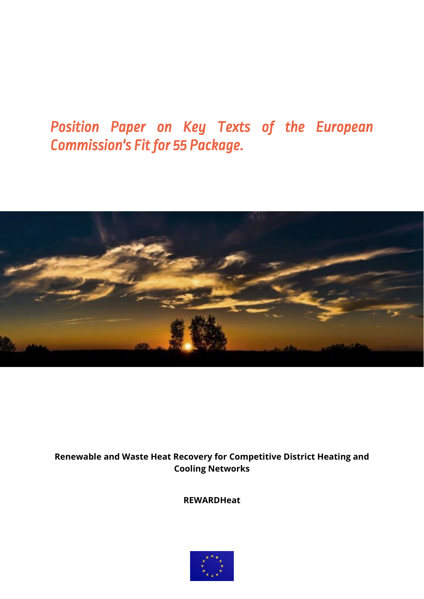# *Position Paper on Key Texts of the European Commission's Fit for 55 Package.*



## **Renewable and Waste Heat Recovery for Competitive District Heating and Cooling Networks**

**REWARDHeat**

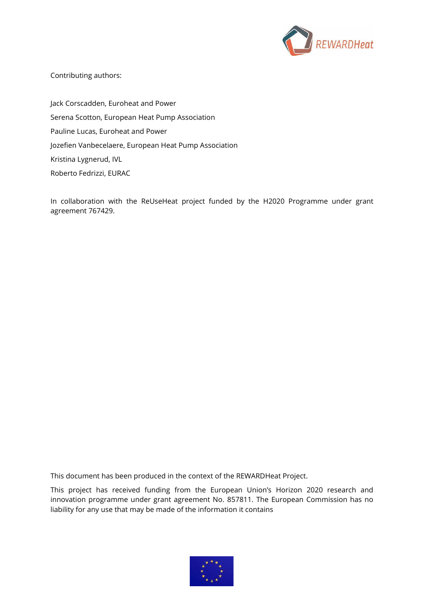

Contributing authors:

Jack Corscadden, Euroheat and Power Serena Scotton, European Heat Pump Association Pauline Lucas, Euroheat and Power Jozefien Vanbecelaere, European Heat Pump Association Kristina Lygnerud, IVL Roberto Fedrizzi, EURAC

In collaboration with the ReUseHeat project funded by the H2020 Programme under grant agreement 767429.

This document has been produced in the context of the REWARDHeat Project.

This project has received funding from the European Union's Horizon 2020 research and innovation programme under grant agreement No. 857811. The European Commission has no liability for any use that may be made of the information it contains

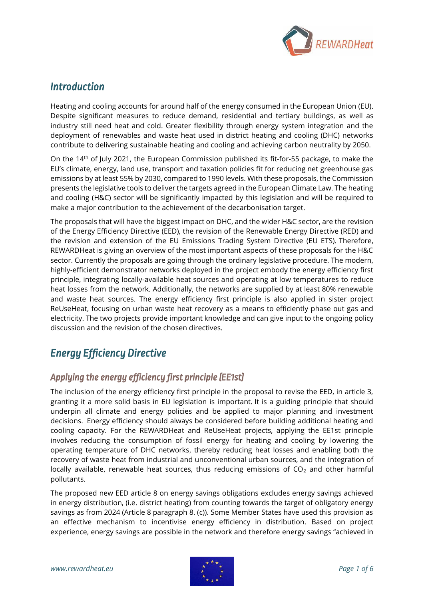

# *Introduction*

Heating and cooling accounts for around half of the energy consumed in the European Union (EU). Despite significant measures to reduce demand, residential and tertiary buildings, as well as industry still need heat and cold. Greater flexibility through energy system integration and the deployment of renewables and waste heat used in district heating and cooling (DHC) networks contribute to delivering sustainable heating and cooling and achieving carbon neutrality by 2050.

On the 14<sup>th</sup> of July 2021, the European Commission published its fit-for-55 package, to make the EU's climate, energy, land use, transport and taxation policies fit for reducing net greenhouse gas emissions by at least 55% by 2030, compared to 1990 levels. With these proposals, the Commission presents the legislative tools to deliver the targets agreed in the European Climate Law. The heating and cooling (H&C) sector will be significantly impacted by this legislation and will be required to make a major contribution to the achievement of the decarbonisation target.

The proposals that will have the biggest impact on DHC, and the wider H&C sector, are the revision of the Energy Efficiency Directive (EED), the revision of the Renewable Energy Directive (RED) and the revision and extension of the EU Emissions Trading System Directive (EU ETS). Therefore, REWARDHeat is giving an overview of the most important aspects of these proposals for the H&C sector. Currently the proposals are going through the ordinary legislative procedure. The modern, highly-efficient demonstrator networks deployed in the project embody the energy efficiency first principle, integrating locally-available heat sources and operating at low temperatures to reduce heat losses from the network. Additionally, the networks are supplied by at least 80% renewable and waste heat sources. The energy efficiency first principle is also applied in sister project ReUseHeat, focusing on urban waste heat recovery as a means to efficiently phase out gas and electricity. The two projects provide important knowledge and can give input to the ongoing policy discussion and the revision of the chosen directives.

# *Energy Efficiency Directive*

### *Applying the energy efficiency first principle (EE1st)*

The inclusion of the energy efficiency first principle in the proposal to revise the EED, in article 3, granting it a more solid basis in EU legislation is important. It is a guiding principle that should underpin all climate and energy policies and be applied to major planning and investment decisions. Energy efficiency should always be considered before building additional heating and cooling capacity. For the REWARDHeat and ReUseHeat projects, applying the EE1st principle involves reducing the consumption of fossil energy for heating and cooling by lowering the operating temperature of DHC networks, thereby reducing heat losses and enabling both the recovery of waste heat from industrial and unconventional urban sources, and the integration of locally available, renewable heat sources, thus reducing emissions of  $CO<sub>2</sub>$  and other harmful pollutants.

The proposed new EED article 8 on energy savings obligations excludes energy savings achieved in energy distribution, (i.e. district heating) from counting towards the target of obligatory energy savings as from 2024 (Article 8 paragraph 8. (c)). Some Member States have used this provision as an effective mechanism to incentivise energy efficiency in distribution. Based on project experience, energy savings are possible in the network and therefore energy savings "achieved in

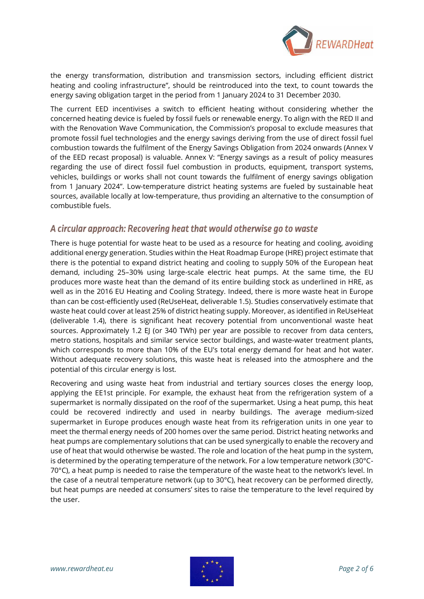

the energy transformation, distribution and transmission sectors, including efficient district heating and cooling infrastructure", should be reintroduced into the text, to count towards the energy saving obligation target in the period from 1 January 2024 to 31 December 2030.

The current EED incentivises a switch to efficient heating without considering whether the concerned heating device is fueled by fossil fuels or renewable energy. To align with the RED II and with the Renovation Wave Communication, the Commission's proposal to exclude measures that promote fossil fuel technologies and the energy savings deriving from the use of direct fossil fuel combustion towards the fulfilment of the Energy Savings Obligation from 2024 onwards (Annex V of the EED recast proposal) is valuable. Annex V: "Energy savings as a result of policy measures regarding the use of direct fossil fuel combustion in products, equipment, transport systems, vehicles, buildings or works shall not count towards the fulfilment of energy savings obligation from 1 January 2024". Low-temperature district heating systems are fueled by sustainable heat sources, available locally at low-temperature, thus providing an alternative to the consumption of combustible fuels.

#### *A circular approach: Recovering heat that would otherwise go to waste*

There is huge potential for waste heat to be used as a resource for heating and cooling, avoiding additional energy generation. Studies within the Heat Roadmap Europe (HRE) project estimate that there is the potential to expand district heating and cooling to supply 50% of the European heat demand, including 25–30% using large-scale electric heat pumps. At the same time, the EU produces more waste heat than the demand of its entire building stock as underlined in HRE, as well as in the 2016 EU Heating and Cooling Strategy. Indeed, there is more waste heat in Europe than can be cost-efficiently used (ReUseHeat, deliverable 1.5). Studies conservatively estimate that waste heat could cover at least 25% of district heating supply. Moreover, as identified in ReUseHeat (deliverable 1.4), there is significant heat recovery potential from unconventional waste heat sources. Approximately 1.2 EJ (or 340 TWh) per year are possible to recover from data centers, metro stations, hospitals and similar service sector buildings, and waste-water treatment plants, which corresponds to more than 10% of the EU's total energy demand for heat and hot water. Without adequate recovery solutions, this waste heat is released into the atmosphere and the potential of this circular energy is lost.

Recovering and using waste heat from industrial and tertiary sources closes the energy loop, applying the EE1st principle. For example, the exhaust heat from the refrigeration system of a supermarket is normally dissipated on the roof of the supermarket. Using a heat pump, this heat could be recovered indirectly and used in nearby buildings. The average medium-sized supermarket in Europe produces enough waste heat from its refrigeration units in one year to meet the thermal energy needs of 200 homes over the same period. District heating networks and heat pumps are complementary solutions that can be used synergically to enable the recovery and use of heat that would otherwise be wasted. The role and location of the heat pump in the system, is determined by the operating temperature of the network. For a low temperature network (30°C-70 $^{\circ}$ C), a heat pump is needed to raise the temperature of the waste heat to the network's level. In the case of a neutral temperature network (up to 30°C), heat recovery can be performed directly, but heat pumps are needed at consumers' sites to raise the temperature to the level required by the user.

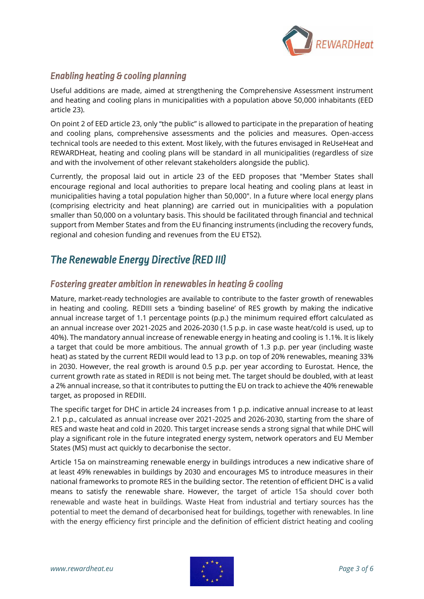

### *Enabling heating & cooling planning*

Useful additions are made, aimed at strengthening the Comprehensive Assessment instrument and heating and cooling plans in municipalities with a population above 50,000 inhabitants (EED article 23).

On point 2 of EED article 23, only "the public" is allowed to participate in the preparation of heating and cooling plans, comprehensive assessments and the policies and measures. Open-access technical tools are needed to this extent. Most likely, with the futures envisaged in ReUseHeat and REWARDHeat, heating and cooling plans will be standard in all municipalities (regardless of size and with the involvement of other relevant stakeholders alongside the public).

Currently, the proposal laid out in article 23 of the EED proposes that "Member States shall encourage regional and local authorities to prepare local heating and cooling plans at least in municipalities having a total population higher than 50,000". In a future where local energy plans (comprising electricity and heat planning) are carried out in municipalities with a population smaller than 50,000 on a voluntary basis. This should be facilitated through financial and technical support from Member States and from the EU financing instruments (including the recovery funds, regional and cohesion funding and revenues from the EU ETS2).

# *The Renewable Energy Directive (RED III)*

### *Fostering greater ambition in renewables in heating & cooling*

Mature, market-ready technologies are available to contribute to the faster growth of renewables in heating and cooling. REDIII sets a 'binding baseline' of RES growth by making the indicative annual increase target of 1.1 percentage points (p.p.) the minimum required effort calculated as an annual increase over 2021-2025 and 2026-2030 (1.5 p.p. in case waste heat/cold is used, up to 40%). The mandatory annual increase of renewable energy in heating and cooling is 1.1%. It is likely a target that could be more ambitious. The annual growth of 1.3 p.p. per year (including waste heat) as stated by the current REDII would lead to 13 p.p. on top of 20% renewables, meaning 33% in 2030. However, the real growth is around 0.5 p.p. per year according to Eurostat. Hence, the current growth rate as stated in REDII is not being met. The target should be doubled, with at least a 2% annual increase, so that it contributes to putting the EU on track to achieve the 40% renewable target, as proposed in REDIII.

The specific target for DHC in article 24 increases from 1 p.p. indicative annual increase to at least 2.1 p.p., calculated as annual increase over 2021-2025 and 2026-2030, starting from the share of RES and waste heat and cold in 2020. This target increase sends a strong signal that while DHC will play a significant role in the future integrated energy system, network operators and EU Member States (MS) must act quickly to decarbonise the sector.

Article 15a on mainstreaming renewable energy in buildings introduces a new indicative share of at least 49% renewables in buildings by 2030 and encourages MS to introduce measures in their national frameworks to promote RES in the building sector. The retention of efficient DHC is a valid means to satisfy the renewable share. However, the target of article 15a should cover both renewable and waste heat in buildings. Waste Heat from industrial and tertiary sources has the potential to meet the demand of decarbonised heat for buildings, together with renewables. In line with the energy efficiency first principle and the definition of efficient district heating and cooling

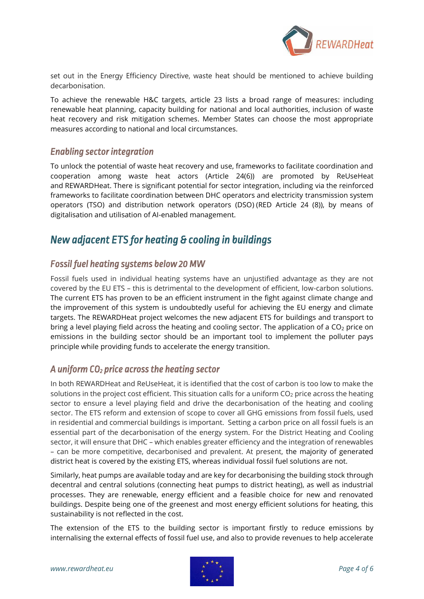

set out in the Energy Efficiency Directive, waste heat should be mentioned to achieve building decarbonisation.

To achieve the renewable H&C targets, article 23 lists a broad range of measures: including renewable heat planning, capacity building for national and local authorities, inclusion of waste heat recovery and risk mitigation schemes. Member States can choose the most appropriate measures according to national and local circumstances.

#### *Enabling sector integration*

To unlock the potential of waste heat recovery and use, frameworks to facilitate coordination and cooperation among waste heat actors (Article 24(6)) are promoted by ReUseHeat and REWARDHeat. There is significant potential for sector integration, including via the reinforced frameworks to facilitate coordination between DHC operators and electricity transmission system operators (TSO) and distribution network operators (DSO) (RED Article 24 (8)), by means of digitalisation and utilisation of AI-enabled management.

# *New adjacent ETS for heating & cooling in buildings*

## *Fossil fuel heating systems below 20 MW*

Fossil fuels used in individual heating systems have an unjustified advantage as they are not covered by the EU ETS – this is detrimental to the development of efficient, low-carbon solutions. The current ETS has proven to be an efficient instrument in the fight against climate change and the improvement of this system is undoubtedly useful for achieving the EU energy and climate targets. The REWARDHeat project welcomes the new adjacent ETS for buildings and transport to bring a level playing field across the heating and cooling sector. The application of a  $CO<sub>2</sub>$  price on emissions in the building sector should be an important tool to implement the polluter pays principle while providing funds to accelerate the energy transition.

#### *A uniform CO2 price across the heating sector*

In both REWARDHeat and ReUseHeat, it is identified that the cost of carbon is too low to make the solutions in the project cost efficient. This situation calls for a uniform  $CO<sub>2</sub>$  price across the heating sector to ensure a level playing field and drive the decarbonisation of the heating and cooling sector. The ETS reform and extension of scope to cover all GHG emissions from fossil fuels, used in residential and commercial buildings is important. Setting a carbon price on all fossil fuels is an essential part of the decarbonisation of the energy system. For the District Heating and Cooling sector, it will ensure that DHC – which enables greater efficiency and the integration of renewables – can be more competitive, decarbonised and prevalent. At present, the majority of generated district heat is covered by the existing ETS, whereas individual fossil fuel solutions are not.

Similarly, heat pumps are available today and are key for decarbonising the building stock through decentral and central solutions (connecting heat pumps to district heating), as well as industrial processes. They are renewable, energy efficient and a feasible choice for new and renovated buildings. Despite being one of the greenest and most energy efficient solutions for heating, this sustainability is not reflected in the cost.

The extension of the ETS to the building sector is important firstly to reduce emissions by internalising the external effects of fossil fuel use, and also to provide revenues to help accelerate

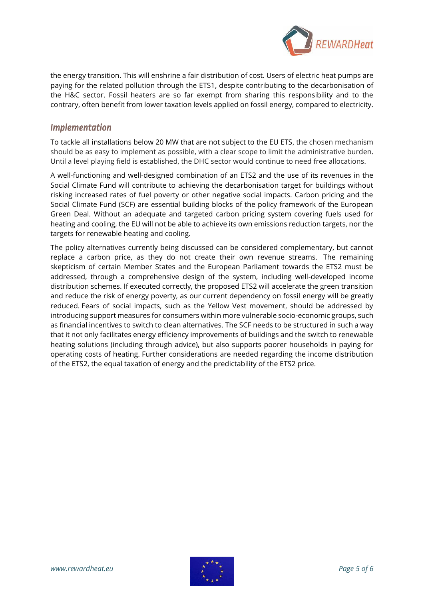

the energy transition. This will enshrine a fair distribution of cost. Users of electric heat pumps are paying for the related pollution through the ETS1, despite contributing to the decarbonisation of the H&C sector. Fossil heaters are so far exempt from sharing this responsibility and to the contrary, often benefit from lower taxation levels applied on fossil energy, compared to electricity.

#### *Implementation*

To tackle all installations below 20 MW that are not subject to the EU ETS, the chosen mechanism should be as easy to implement as possible, with a clear scope to limit the administrative burden. Until a level playing field is established, the DHC sector would continue to need free allocations.

A well-functioning and well-designed combination of an ETS2 and the use of its revenues in the Social Climate Fund will contribute to achieving the decarbonisation target for buildings without risking increased rates of fuel poverty or other negative social impacts. Carbon pricing and the Social Climate Fund (SCF) are essential building blocks of the policy framework of the European Green Deal. Without an adequate and targeted carbon pricing system covering fuels used for heating and cooling, the EU will not be able to achieve its own emissions reduction targets, nor the targets for renewable heating and cooling.

The policy alternatives currently being discussed can be considered complementary, but cannot replace a carbon price, as they do not create their own revenue streams. The remaining skepticism of certain Member States and the European Parliament towards the ETS2 must be addressed, through a comprehensive design of the system, including well-developed income distribution schemes. If executed correctly, the proposed ETS2 will accelerate the green transition and reduce the risk of energy poverty, as our current dependency on fossil energy will be greatly reduced. Fears of social impacts, such as the Yellow Vest movement, should be addressed by introducing support measures for consumers within more vulnerable socio-economic groups, such as financial incentives to switch to clean alternatives. The SCF needs to be structured in such a way that it not only facilitates energy efficiency improvements of buildings and the switch to renewable heating solutions (including through advice), but also supports poorer households in paying for operating costs of heating. Further considerations are needed regarding the income distribution of the ETS2, the equal taxation of energy and the predictability of the ETS2 price.